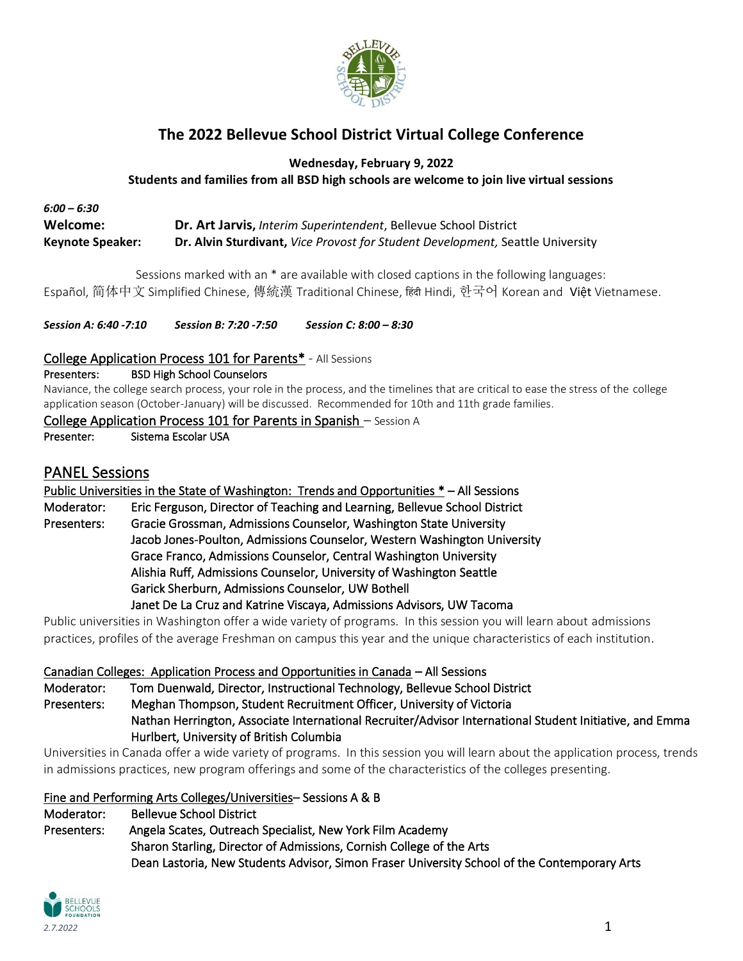

# **The 2022 Bellevue School District Virtual College Conference**

**Wednesday, February 9, 2022**

**Students and families from all BSD high schools are welcome to join live virtual sessions**

#### *6:00 – 6:30* **Welcome: Dr. Art Jarvis,** *Interim Superintendent*, Bellevue School District **Keynote Speaker: Dr. Alvin Sturdivant,** *Vice Provost for Student Development,* Seattle University

Sessions marked with an \* are available with closed captions in the following languages: Español, 简体中文 Simplified Chinese, 傳統漢 Traditional Chinese, ह िंदी Hindi, 한국어 Korean and Việt Vietnamese.

*Session A: 6:40 -7:10 Session B: 7:20 -7:50 Session C: 8:00 – 8:30*

#### College Application Process 101 for Parents\* - All Sessions

Presenters: BSD High School Counselors

Naviance, the college search process, your role in the process, and the timelines that are critical to ease the stress of the college application season (October-January) will be discussed. Recommended for 10th and 11th grade families.

#### College Application Process 101 for Parents in Spanish – Session A

Presenter: Sistema Escolar USA

### PANEL Sessions

Public Universities in the State of Washington: Trends and Opportunities \* – All Sessions Moderator: Eric Ferguson, Director of Teaching and Learning, Bellevue School District Presenters: Gracie Grossman, Admissions Counselor, Washington State University Jacob Jones-Poulton, Admissions Counselor, Western Washington University Grace Franco, Admissions Counselor, Central Washington University Alishia Ruff, Admissions Counselor, University of Washington Seattle Garick Sherburn, Admissions Counselor, UW Bothell Janet De La Cruz and Katrine Viscaya, Admissions Advisors, UW Tacoma

Public universities in Washington offer a wide variety of programs. In this session you will learn about admissions practices, profiles of the average Freshman on campus this year and the unique characteristics of each institution.

#### Canadian Colleges: Application Process and Opportunities in Canada – All Sessions

Moderator: Tom Duenwald, Director, Instructional Technology, Bellevue School District Presenters: Meghan Thompson, Student Recruitment Officer, University of Victoria Nathan Herrington, Associate International Recruiter/Advisor International Student Initiative, and Emma Hurlbert, University of British Columbia

Universities in Canada offer a wide variety of programs. In this session you will learn about the application process, trends in admissions practices, new program offerings and some of the characteristics of the colleges presenting.

Fine and Performing Arts Colleges/Universities– Sessions A & B

Moderator: Bellevue School District Presenters: Angela Scates, Outreach Specialist, New York Film Academy Sharon Starling, Director of Admissions, Cornish College of the Arts Dean Lastoria, New Students Advisor, Simon Fraser University School of the Contemporary Arts

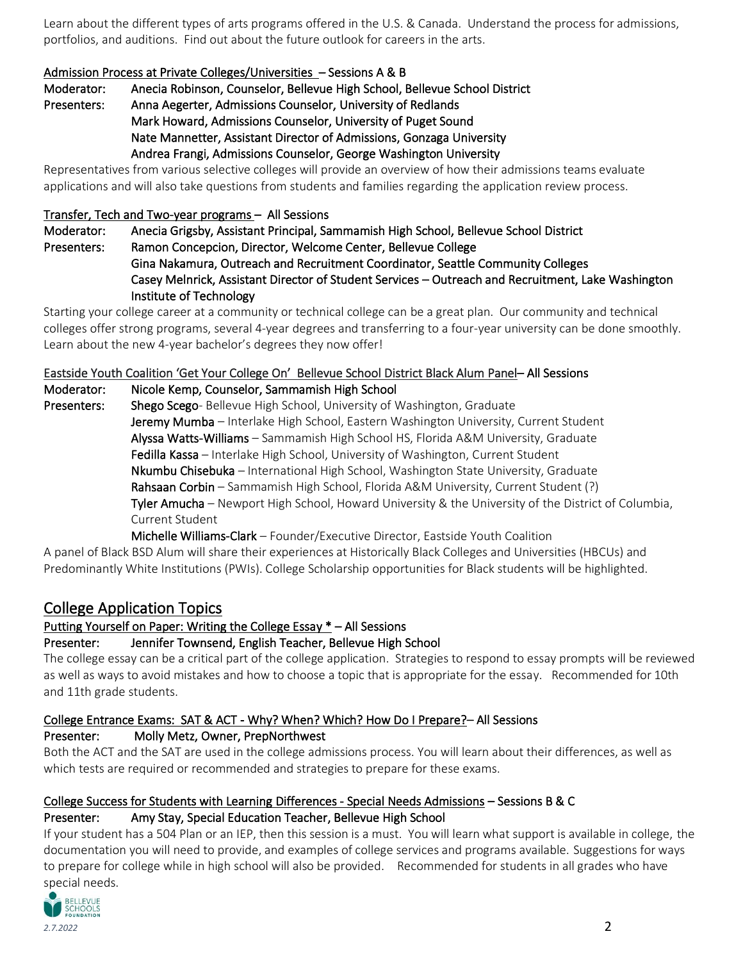Learn about the different types of arts programs offered in the U.S. & Canada. Understand the process for admissions, portfolios, and auditions. Find out about the future outlook for careers in the arts.

#### Admission Process at Private Colleges/Universities – Sessions A & B

Moderator: Anecia Robinson, Counselor, Bellevue High School, Bellevue School District Presenters: Anna Aegerter, Admissions Counselor, University of Redlands Mark Howard, Admissions Counselor, University of Puget Sound Nate Mannetter, Assistant Director of Admissions, Gonzaga University

Andrea Frangi, Admissions Counselor, George Washington University

Representatives from various selective colleges will provide an overview of how their admissions teams evaluate applications and will also take questions from students and families regarding the application review process.

#### Transfer, Tech and Two-year programs – All Sessions

Moderator: Anecia Grigsby, Assistant Principal, Sammamish High School, Bellevue School District Presenters: Ramon Concepcion, Director, Welcome Center, Bellevue College Gina Nakamura, Outreach and Recruitment Coordinator, Seattle Community Colleges Casey Melnrick, Assistant Director of Student Services – Outreach and Recruitment, Lake Washington Institute of Technology

Starting your college career at a community or technical college can be a great plan. Our community and technical colleges offer strong programs, several 4-year degrees and transferring to a four-year university can be done smoothly. Learn about the new 4-year bachelor's degrees they now offer!

### Eastside Youth Coalition 'Get Your College On' Bellevue School District Black Alum Panel– All Sessions

#### Moderator: Nicole Kemp, Counselor, Sammamish High School

Presenters: Shego Scego- Bellevue High School, University of Washington, Graduate Jeremy Mumba - Interlake High School, Eastern Washington University, Current Student Alyssa Watts-Williams – Sammamish High School HS, Florida A&M University, Graduate Fedilla Kassa - Interlake High School, University of Washington, Current Student Nkumbu Chisebuka – International High School, Washington State University, Graduate Rahsaan Corbin – Sammamish High School, Florida A&M University, Current Student (?) Tyler Amucha – Newport High School, Howard University & the University of the District of Columbia, Current Student

Michelle Williams-Clark – Founder/Executive Director, Eastside Youth Coalition

A panel of Black BSD Alum will share their experiences at Historically Black Colleges and Universities (HBCUs) and Predominantly White Institutions (PWIs). College Scholarship opportunities for Black students will be highlighted.

### College Application Topics

### Putting Yourself on Paper: Writing the College Essay \* – All Sessions

### Presenter: Jennifer Townsend, English Teacher, Bellevue High School

The college essay can be a critical part of the college application. Strategies to respond to essay prompts will be reviewed as well as ways to avoid mistakes and how to choose a topic that is appropriate for the essay. Recommended for 10th and 11th grade students.

### College Entrance Exams: SAT & ACT - Why? When? Which? How Do I Prepare?– All Sessions

### Presenter: Molly Metz, Owner, PrepNorthwest

Both the ACT and the SAT are used in the college admissions process. You will learn about their differences, as well as which tests are required or recommended and strategies to prepare for these exams.

# College Success for Students with Learning Differences - Special Needs Admissions – Sessions B & C

### Presenter: Amy Stay, Special Education Teacher, Bellevue High School

If your student has a 504 Plan or an IEP, then this session is a must. You will learn what support is available in college, the documentation you will need to provide, and examples of college services and programs available. Suggestions for ways to prepare for college while in high school will also be provided. Recommended for students in all grades who have special needs.